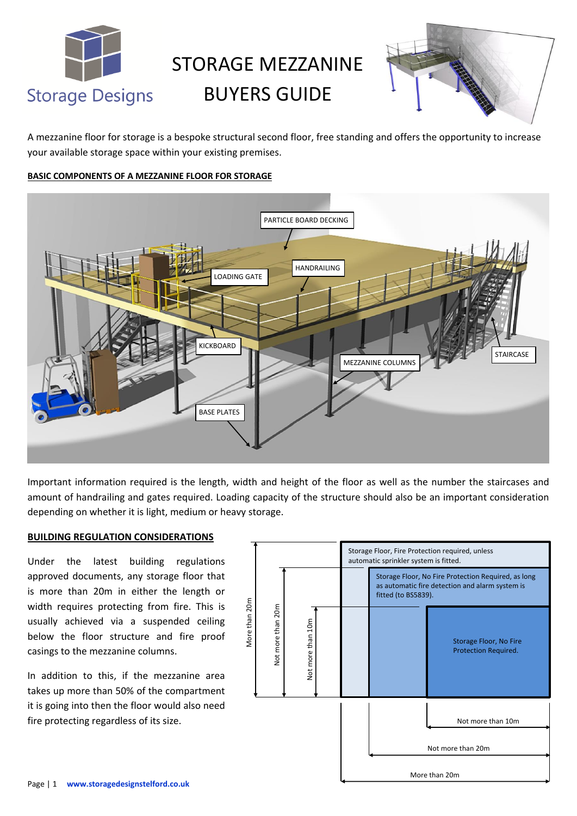

# STORAGE MEZZANINE BUYERS GUIDE



A mezzanine floor for storage is a bespoke structural second floor, free standing and offers the opportunity to increase your available storage space within your existing premises.

## **BASIC COMPONENTS OF A MEZZANINE FLOOR FOR STORAGE**



Important information required is the length, width and height of the floor as well as the number the staircases and amount of handrailing and gates required. Loading capacity of the structure should also be an important consideration depending on whether it is light, medium or heavy storage.

### **BUILDING REGULATION CONSIDERATIONS**

Under the latest building regulations approved documents, any storage floor that is more than 20m in either the length or width requires protecting from fire. This is usually achieved via a suspended ceiling below the floor structure and fire proof casings to the mezzanine columns.

In addition to this, if the mezzanine area takes up more than 50% of the compartment it is going into then the floor would also need fire protecting regardless of its size.